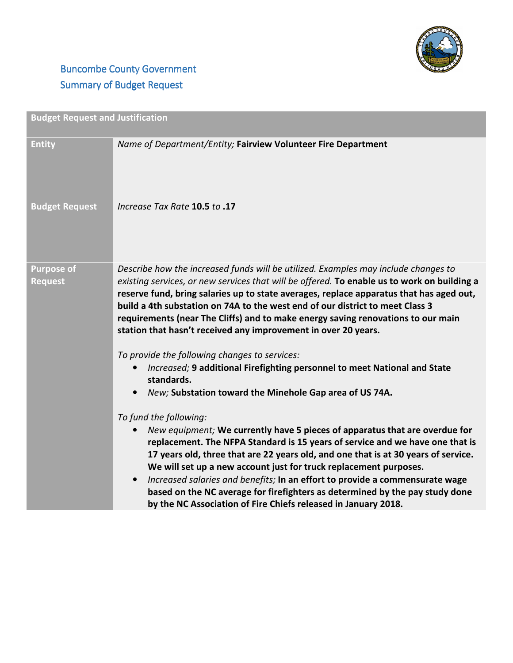

## **Buncombe County Government** Summary of Budget Request

| <b>Budget Request and Justification</b> |                                                                                                                                                                                                                                                                                                                                                                                                                                                                                                                                                                                                                                                                                                                                                                                                                                                                                                                                                                                                                                                                                 |
|-----------------------------------------|---------------------------------------------------------------------------------------------------------------------------------------------------------------------------------------------------------------------------------------------------------------------------------------------------------------------------------------------------------------------------------------------------------------------------------------------------------------------------------------------------------------------------------------------------------------------------------------------------------------------------------------------------------------------------------------------------------------------------------------------------------------------------------------------------------------------------------------------------------------------------------------------------------------------------------------------------------------------------------------------------------------------------------------------------------------------------------|
| <b>Entity</b>                           | Name of Department/Entity; Fairview Volunteer Fire Department                                                                                                                                                                                                                                                                                                                                                                                                                                                                                                                                                                                                                                                                                                                                                                                                                                                                                                                                                                                                                   |
| <b>Budget Request</b>                   | <b>Increase Tax Rate 10.5 to .17</b>                                                                                                                                                                                                                                                                                                                                                                                                                                                                                                                                                                                                                                                                                                                                                                                                                                                                                                                                                                                                                                            |
| <b>Purpose of</b><br><b>Request</b>     | Describe how the increased funds will be utilized. Examples may include changes to<br>existing services, or new services that will be offered. To enable us to work on building a<br>reserve fund, bring salaries up to state averages, replace apparatus that has aged out,<br>build a 4th substation on 74A to the west end of our district to meet Class 3<br>requirements (near The Cliffs) and to make energy saving renovations to our main<br>station that hasn't received any improvement in over 20 years.<br>To provide the following changes to services:<br>Increased; 9 additional Firefighting personnel to meet National and State<br>standards.<br>New; Substation toward the Minehole Gap area of US 74A.<br>To fund the following:<br>New equipment; We currently have 5 pieces of apparatus that are overdue for<br>replacement. The NFPA Standard is 15 years of service and we have one that is<br>17 years old, three that are 22 years old, and one that is at 30 years of service.<br>We will set up a new account just for truck replacement purposes. |
|                                         | Increased salaries and benefits; In an effort to provide a commensurate wage<br>based on the NC average for firefighters as determined by the pay study done<br>by the NC Association of Fire Chiefs released in January 2018.                                                                                                                                                                                                                                                                                                                                                                                                                                                                                                                                                                                                                                                                                                                                                                                                                                                  |